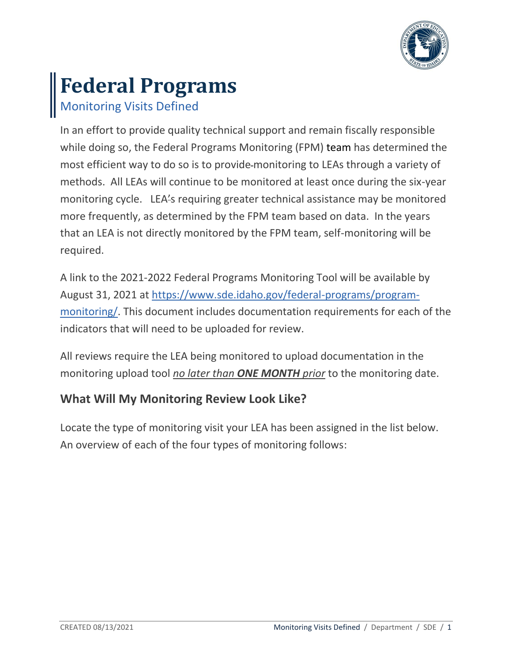

# **Federal Programs**

Monitoring Visits Defined

In an effort to provide quality technical support and remain fiscally responsible while doing so, the Federal Programs Monitoring (FPM) team has determined the most efficient way to do so is to provide monitoring to LEAs through a variety of methods. All LEAs will continue to be monitored at least once during the six-year monitoring cycle. LEA's requiring greater technical assistance may be monitored more frequently, as determined by the FPM team based on data. In the years that an LEA is not directly monitored by the FPM team, self-monitoring will be required.

A link to the 2021-2022 Federal Programs Monitoring Tool will be available by August 31, 2021 at [https://www.sde.idaho.gov/federal-programs/program](https://www.sde.idaho.gov/federal-programs/program-monitoring/)[monitoring/.](https://www.sde.idaho.gov/federal-programs/program-monitoring/) This document includes documentation requirements for each of the indicators that will need to be uploaded for review.

All reviews require the LEA being monitored to upload documentation in the monitoring upload tool *no later than ONE MONTH prior* to the monitoring date.

## **What Will My Monitoring Review Look Like?**

Locate the type of monitoring visit your LEA has been assigned in the list below. An overview of each of the four types of monitoring follows: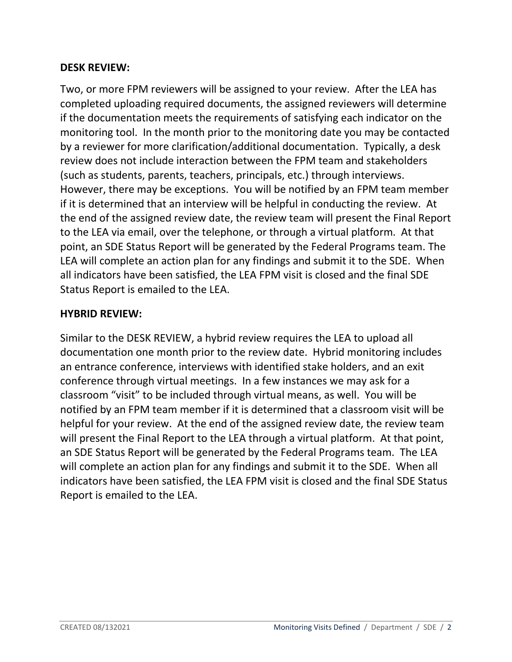### **DESK REVIEW:**

Two, or more FPM reviewers will be assigned to your review. After the LEA has completed uploading required documents, the assigned reviewers will determine if the documentation meets the requirements of satisfying each indicator on the monitoring tool. In the month prior to the monitoring date you may be contacted by a reviewer for more clarification/additional documentation. Typically, a desk review does not include interaction between the FPM team and stakeholders (such as students, parents, teachers, principals, etc.) through interviews. However, there may be exceptions. You will be notified by an FPM team member if it is determined that an interview will be helpful in conducting the review. At the end of the assigned review date, the review team will present the Final Report to the LEA via email, over the telephone, or through a virtual platform. At that point, an SDE Status Report will be generated by the Federal Programs team. The LEA will complete an action plan for any findings and submit it to the SDE. When all indicators have been satisfied, the LEA FPM visit is closed and the final SDE Status Report is emailed to the LEA.

#### **HYBRID REVIEW:**

Similar to the DESK REVIEW, a hybrid review requires the LEA to upload all documentation one month prior to the review date. Hybrid monitoring includes an entrance conference, interviews with identified stake holders, and an exit conference through virtual meetings. In a few instances we may ask for a classroom "visit" to be included through virtual means, as well. You will be notified by an FPM team member if it is determined that a classroom visit will be helpful for your review. At the end of the assigned review date, the review team will present the Final Report to the LEA through a virtual platform. At that point, an SDE Status Report will be generated by the Federal Programs team. The LEA will complete an action plan for any findings and submit it to the SDE. When all indicators have been satisfied, the LEA FPM visit is closed and the final SDE Status Report is emailed to the LEA.